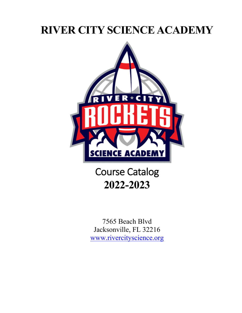# **RIVER CITY SCIENCE ACADEMY**



Course Catalog **2022-2023**

7565 Beach Blvd Jacksonville, FL 32216 www.rivercityscience.org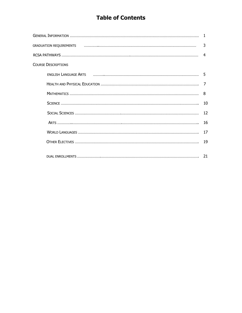## **Table of Contents**

|                            | 3  |
|----------------------------|----|
|                            | 4  |
| <b>COURSE DESCRIPTIONS</b> |    |
|                            | .5 |
|                            | 7  |
|                            | 8  |
|                            | 10 |
|                            | 12 |
|                            | 16 |
|                            | 17 |
|                            | 19 |
|                            |    |
|                            |    |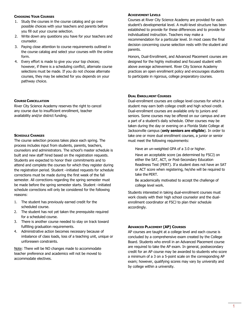## **CHOOSING YOUR COURSES**

- 1. Study the courses in the course catalog and go over possible choices with your teachers and parents before you fill out your course selection.
- 2. Write down any questions you have for your teachers and counselor.
- 3. Paying close attention to course requirements outlined in the course catalog and select your courses with the online form.
- 4. Every effort is made to give you your top choices; however, if there is a scheduling conflict, alternate course selections must be made. If you do not choose alternate courses, they may be selected for you depends on your pathway choice.

## **COURSE CANCELLATION**

River City Science Academy reserves the right to cancel any course due to insufficient enrollment, teacher availability and/or district funding.

## **SCHEDULE CHANGES**

The course selection process takes place each spring. The process includes input from students, parents, teachers, counselors and administrators. The school's master schedule is built and new staff hired based on the registration requests. Students are expected to honor their commitments and to attend and complete the courses for which they register during the registration period. Student –initiated requests for schedule corrections must be made during the first week of the fall semester. All corrections regarding the spring semester must be made before the spring semester starts. Student –initiated schedule corrections will only be considered for the following reasons:

- 1. The student has previously earned credit for the scheduled course.
- 2. The student has not yet taken the prerequisite required for a scheduled course.
- 3. There is another course needed to stay on track toward fulfilling graduation requirements.
- 4. Administrative action becomes necessary because of imbalance of class loads, loss of a teaching unit, unique or unforeseen constraints.

Note: There will be NO changes made to accommodate teacher preference and academics will not be moved to accommodate electives.

## **ACHIEVEMENT LEVELS**

Courses at River City Science Academy are provided for each student's developmental level. A multi-level structure has been established to provide for these differences and to provide for individualized instruction. Teachers may make a recommendation for a particular level. In most cases the final decision concerning course selection rests with the student and parents.

Honors, Dual-Enrollment, and Advanced Placement courses are designed for the highly motivated and focused student with above average achievement. River City Science Academy practices an open enrollment policy and encourages students to participate in rigorous, college preparatory courses.

## **DUAL ENROLLMENT COURSES**

Dual-enrollment courses are college level courses for which a student may earn both college credit and high school credit. Dual-enrollment courses are available only to juniors and seniors. Some courses may be offered on our campus and are a part of a student's daily schedule. Other courses may be taken during the day or evening on a Florida State College at Jacksonville campus (**only seniors are eligible**). In order to take one or more dual enrollment courses, a junior or senior must meet the following requirements:

Have an un-weighted GPA of a 3.0 or higher.

 Have an acceptable score (as determined by FSCJ) on either the SAT, ACT, or Post-Secondary Education Readiness Test (PERT). If a student does not have an SAT or ACT score when registering, he/she will be required to take the PERT.

 Be academically motivated to accept the challenge of college level work.

Students interested in taking dual-enrollment courses must work closely with their high school counselor and the dualenrollment coordinator at FSCJ to plan their schedule accordingly.

## **ADVANCED PLACEMENT (AP) COURSES**

AP courses are taught at a college level and each course is concluded by a comprehensive exam created by the College Board. Students who enroll in an Advanced Placement course are required to take the AP exam. In general, postsecondary credit for an AP course may be awarded to students who score a minimum of a 3 on a 5-point scale on the corresponding AP exam; however, qualifying scores may vary by university and by college within a university.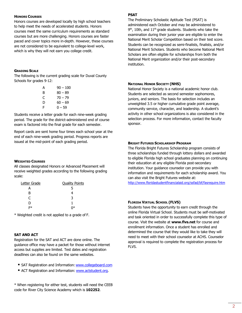## **HONORS COURSES**

Honors courses are developed locally by high school teachers to help meet the needs of accelerated students. Honors courses meet the same curriculum requirements as standard courses but are more challenging. Honors courses are faster paced and cover topics more in-depth. However, these courses are not considered to be equivalent to college-level work, which is why they will not earn you college credit.

## **GRADING SCALE**

The following is the current grading scale for Duval County Schools for grades 9-12:

| А | $90 - 100$ |
|---|------------|
| B | 80 – 89    |
| C | $70 - 79$  |
| D | $60 - 69$  |
| F | 0 – 59     |

Students receive a letter grade for each nine-week grading period. The grade for the district-administered end of course exam is factored into the final grade for each semester.

Report cards are sent home four times each school year at the end of each nine-week grading period. Progress reports are issued at the mid-point of each grading period.

## **WEIGHTED COURSES**

All classes designated Honors or Advanced Placement will receive weighted grades according to the following grading scale:

| Letter Grade | <b>Quality Points</b> |
|--------------|-----------------------|
| A            |                       |
| В            |                       |
| C            | ર                     |
| D            |                       |
| ≃∗           |                       |

\* Weighted credit is not applied to a grade of F.

## **SAT AND ACT**

Registration for the SAT and ACT are done online. The guidance office may have a packet for those without internet access but supplies are limited. Test dates and registration deadlines can also be found on the same websites.

- SAT Registration and Information: www.collegeboard.com
- ACT Registration and Information: www.actstudent.org.

\* When registering for either test, students will need the CEEB code for River City Science Academy which is **102252**.

## **PSAT**

The Preliminary Scholastic Aptitude Test (PSAT) is administered each October and may be administered to 9<sup>th</sup>, 10th, and 11<sup>th</sup> grade students. Students who take the examination during their junior year are eligible to enter the National Merit Scholar Competition based on their test score. Students can be recognized as semi-finalists, finalists, and/or National Merit Scholars. Students who become National Merit Scholars are often eligible for scholarships from both the National Merit organization and/or their post-secondary institution.

## **NATIONAL HONOR SOCIETY (NHS)**

National Honor Society is a national academic honor club. Students are selected as second semester sophomores, juniors, and seniors. The basis for selection includes an unweighted 3.5 or higher cumulative grade point average, community service, character, and leadership. A student's activity in other school organizations is also considered in the selection process. For more information, contact the faculty sponsor.

## **BRIGHT FUTURES SCHOLARSHIP PROGRAM**

The Florida Bright Futures Scholarship program consists of three scholarships funded through lottery dollars and awarded to eligible Florida high school graduates planning on continuing their education at any eligible Florida post-secondary institution. Your guidance counselor can provide you with information and requirements for each scholarship award. You can also visit the Bright Futures website at:

http://www.floridastudentfinancialaid.org/ssfad/bf/fasrequire.htm

## **FLORIDA VIRTUAL SCHOOL (FLVS)**

Students have the opportunity to earn credit through the online Florida Virtual School. Students must be self-motivated and task oriented in order to successfully complete this type of course. Visit the website at **www.flvs.net** for course and enrollment information. Once a student has enrolled and determined the course that they would like to take they will need to meet with their school counselor at ACHS. Counselor approval is required to complete the registration process for FLVS.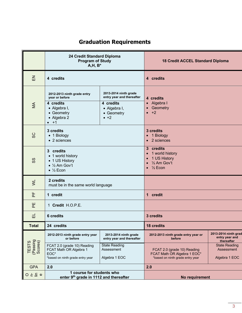## **Graduation Requirements**

|                                       | 24 Credit Standard Diploma<br><b>Program of Study</b><br><b>18 Credit ACCEL Standard Diploma</b><br>$A, H, B^*$         |                                                                                                               |                                                                                                                    |                                                      |  |
|---------------------------------------|-------------------------------------------------------------------------------------------------------------------------|---------------------------------------------------------------------------------------------------------------|--------------------------------------------------------------------------------------------------------------------|------------------------------------------------------|--|
| $\overline{H}$                        | 4 credits                                                                                                               |                                                                                                               | 4 credits                                                                                                          |                                                      |  |
| $\leq$                                | 2012-2013 ninth grade entry<br>year or before<br>4 credits<br>• Algebra I,<br>• Geometry<br>• Algebra 2<br>$\bullet$ +1 | 2013-2014 ninth grade<br>entry year and thereafter<br>4 credits<br>• Algebra I,<br>• Geometry<br>$\bullet$ +2 | 4 credits<br>• Algebra I<br>Geometry<br>$+2$<br>$\bullet$                                                          |                                                      |  |
| SC                                    | 3 credits<br>• 1 Biology<br>• 2 sciences                                                                                |                                                                                                               | 3 credits<br>• 1 Biology<br>• 2 sciences                                                                           |                                                      |  |
| SS                                    | 3 credits<br>• 1 world history<br>• 1 US History<br>$\bullet$ 1/2 Am Gov't<br>$\bullet$ ½ Econ                          |                                                                                                               | 3 credits<br>1 world history<br>$\bullet$<br>1 US History<br>$\bullet$<br>$\bullet$ % Am Gov't<br>$\bullet$ % Econ |                                                      |  |
| $\geq$                                | 2 credits<br>must be in the same world language                                                                         |                                                                                                               |                                                                                                                    |                                                      |  |
| 눈                                     | 1 credit                                                                                                                |                                                                                                               | 1 credit                                                                                                           |                                                      |  |
| 씬                                     | 1 Credit H.O.P.E.                                                                                                       |                                                                                                               |                                                                                                                    |                                                      |  |
| 긊                                     | 6 credits                                                                                                               |                                                                                                               | 3 credits                                                                                                          |                                                      |  |
| <b>Total</b>                          | 24 credits                                                                                                              |                                                                                                               | <b>18 credits</b>                                                                                                  |                                                      |  |
|                                       | 2012-2013 ninth grade entry year<br>or before                                                                           | 2013-2014 ninth grade<br>entry year and thereafter                                                            | 2012-2013 ninth grade entry year or<br>before                                                                      | 2013-2014 ninth grad<br>entry year and<br>thereafter |  |
| TESTS<br>(Passing<br>Scores)          | FCAT 2.0 (grade 10) Reading<br>FCAT Math OR Algebra 1<br>EOC*<br>*based on ninth grade entry year                       | <b>State Reading</b><br>Assessment<br>Algebra 1 EOC                                                           | FCAT 2.0 (grade 10) Reading<br>FCAT Math OR Algebra 1 EOC*<br>*based on ninth grade entry year                     | <b>State Reading</b><br>Assessment<br>Algebra 1 EOC  |  |
| <b>GPA</b>                            | 2.0                                                                                                                     |                                                                                                               | 2.0                                                                                                                |                                                      |  |
| $O \nightharpoonup E \nightharpoonup$ | 1 course for students who<br>enter 9th grade in 1112 and thereafter                                                     |                                                                                                               | No requirement                                                                                                     |                                                      |  |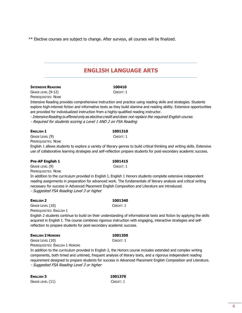\*\* Elective courses are subject to change. After surveys, all courses will be finalized.

## **ENGLISH LANGUAGE ARTS**

## **INTENSIVE READING 100410**

GRADE LEVEL (9-12) CREDIT: 1 PREREQUISITES: NONE

Intensive Reading provides comprehensive instruction and practice using reading skills and strategies. Students explore high-interest fiction and informative texts as they build stamina and reading ability. Extensive opportunities are provided for individualized instruction from a highly-qualified reading instructor.

-IntensiveReading is offered only as elective credit and does not replace the required English course.

- Required for students scoring a Level 1 AND 2 on FSA Reading

## **ENGLISH 1 1001310**

## GRADE LEVEL (9) CREDIT: 1

PREREQUISITES: NONE

English 1 allows students to explore a variety of literary genres to build critical thinking and writing skills. Extensive use of collaborative learning strategies and self-reflection prepare students for post-secondary academic success.

## **Pre-AP English 1 1001415**

GRADE LEVEL (9) CREDIT: 1 PREREQUISITES: NONE

In addition to the curriculum provided in English I, English 1 Honors students complete extensive independent reading assignments in preparation for advanced work. The fundamentals of literary analysis and critical writing necessary for success in Advanced Placement English Composition and Literature are introduced. - Suggested FSA Reading Level 3 or higher

## **ENGLISH 2 1001340**

GRADE LEVEL (10) CREDIT: 1 PREREQUISITES: ENGLISH 1

English 2 students continue to build on their understanding of informational texts and fiction by applying the skills acquired in English I. The course combines rigorous instruction with engaging, interactive strategies and selfreflection to prepare students for post-secondary academic success.

## **ENGLISH 2 HONORS 1001350**

## GRADE LEVEL (10) CREDIT: 1

PREREQUISITES: ENGLISH 1 HONORS

In addition to the curriculum provided in English 2, the Honors course includes extended and complex writing components, both timed and untimed, frequent analysis of literary texts, and a rigorous independent reading requirement designed to prepare students for success in Advanced Placement English Composition and Literature. - Suggested FSA Reading Level 3 or higher

| <b>ENGLISH 3</b>         | 1001370   |
|--------------------------|-----------|
| $\,$ Grade level ( $11)$ | Credit: 1 |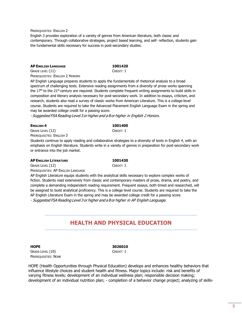PREREQUISITES: ENGLISH 2

English 3 provides exploration of a variety of genres from American literature, both classic and contemporary. Through collaborative strategies, project based learning, and self- reflection, students gain the fundamental skills necessary for success in post-secondary studies.

## **AP ENGLISH LANGUAGE 1001420**

GRADE LEVEL (11) CREDIT: 1 PREREQUISITES: ENGLISH 2 HONORS

AP English Language prepares students to apply the fundamentals of rhetorical analysis to a broad spectrum of challenging texts. Extensive reading assignments from a diversity of prose works spanning the 17<sup>th</sup> to the 21<sup>st</sup> century are required. Students complete frequent writing assignments to build skills in composition and literary analysis necessary for post-secondary work. In addition to essays, criticism, and research, students also read a survey of classic works from American Literature. This is a college-level course. Students are required to take the Advanced Placement English Language Exam in the spring and may be awarded college credit for a passing score.

- Suggested FSA Reading Level 3 or higher and <sup>a</sup> B or higher in English 2 Honors.

## **ENGLISH 4 1001400**

GRADE LEVEL (12) CREDIT: 1 PREREQUISITES: ENGLISH 3

Students continue to apply reading and collaborative strategies to a diversity of texts in English 4, with an emphasis on English literature. Students write in a variety of genres in preparation for post-secondary work or entrance into the job market.

## **AP ENGLISH LITERATURE 1001430**

GRADE LEVEL (12) CREDIT: 1

PREREQUISITES: AP ENGLISH LANGUAGE AP English Literature equips students with the analytical skills necessary to explore complex works of

fiction. Students read extensively from classic and contemporary masters of prose, drama, and poetry, and complete a demanding independent reading requirement. Frequent essays, both timed and researched, will be assigned to build analytical proficiency. This is a college level course. Students are required to take the AP English Literature Exam in the spring and may be awarded college credit for a passing score. - Suggested FSA Reading Level 3 or higher and <sup>a</sup> B or higher in AP English Language.

## **HEALTH AND PHYSICAL EDUCATION**

GRADE LEVEL (10) CREDIT: 1 PREREQUISITES: NONE

**HOPE 3026010**

HOPE (Health Opportunities through Physical Education) develops and enhances healthy behaviors that influence lifestyle choices and student health and fitness. Major topics include: risk and benefits of varying fitness levels; development of an individual wellness plan; responsible decision making; development of an individual nutrition plan; - completion of a behavior change project; analyzing of skills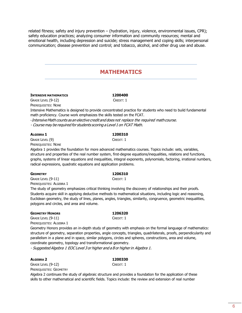related fitness; safety and injury prevention – (hydration, injury, violence, environmental issues, CPR); safety education practices; analyzing consumer information and community resources; mental and emotional health, including depression and suicide; stress management and coping skills; interpersonal communication; disease prevention and control; and tobacco, alcohol, and other drug use and abuse.

## **MATHEMATICS**

## **INTENSIVE MATHEMATICS 1200400**

GRADE LEVEL (9-12) CREDIT: 1 PREREQUISITES: NONE

Intensive Mathematics is designed to provide concentrated practice for students who need to build fundamental math proficiency. Course work emphasizes the skills tested on the FCAT.

-IntensiveMath counts as an elective credit and does not replace the required mathcourse.

- Course may be required for students scoring <sup>a</sup> Level 1 on FCAT Math.

## **ALGEBRA 1 1200310**

GRADE LEVEL (9) CREDIT: 1 PREREQUISITES: NONE

Algebra 1 provides the foundation for more advanced mathematics courses. Topics include: sets, variables, structure and properties of the real number system, first-degree equations/inequalities, relations and functions, graphs, systems of linear equations and inequalities, integral exponents, polynomials, factoring, irrational numbers, radical expressions, quadratic equations and application problems.

## **GEOMETRY 1206310**

GRADE LEVEL (9-11) CREDIT: 1 PREREQUISITES: ALGEBRA 1

The study of geometry emphasizes critical thinking involving the discovery of relationships and their proofs. Students acquire skill in applying deductive methods to mathematical situations, including logic and reasoning, Euclidean geometry, the study of lines, planes, angles, triangles, similarity, congruence, geometric inequalities, polygons and circles, and area and volume.

## **GEOMETRY HONORS 1206320**

## GRADE LEVEL (9-11) CREDIT: 1

PREREQUISITES: ALGEBRA 1

Geometry Honors provides an in-depth study of geometry with emphasis on the formal language of mathematics: structure of geometry, separation properties, angle concepts, triangles, quadrilaterals, proofs, perpendicularity and parallelism in a plane and in space, similar polygons, circles and spheres, constructions, area and volume, coordinate geometry, topology and transformational geometry.

- Suggested Algebra 1 EOC Level 3 or higher and <sup>a</sup> B or higher in Algebra 1.

**ALGEBRA 2 1200330** GRADE LEVEL (9-12) CREDIT: 1 PREREQUISITES: GEOMETRY

Algebra 2 continues the study of algebraic structure and provides a foundation for the application of these skills to other mathematical and scientific fields. Topics include: the review and extension of real number

6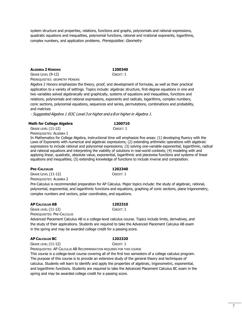system structure and properties, relations, functions and graphs, polynomials and rational expressions, quadratic equations and inequalities, polynomial functions, rational and irrational exponents, logarithms, complex numbers, and application problems. Prerequisites: Geometry

## **ALGEBRA 2 HONORS 1200340**

GRADE LEVEL (9-12) CREDIT: 1 PREREQUISITES: GEOMETRY HONORS

Algebra 2 Honors emphasizes the theory, proof, and development of formulas, as well as their practical application to a variety of settings. Topics include: algebraic structure, first-degree equations in one and two variables solved algebraically and graphically, systems of equations and inequalities, functions and relations, polynomials and rational expressions, exponents and radicals, logarithms, complex numbers, conic sections, polynomial equations, sequences and series, permutations, combinations and probability, and matrices

- Suggested Algebra 1 EOC Level 3 or higher and <sup>a</sup> B or higher in Algebra 1.

## **Math for College Algebra 1200710**

GRADE LEVEL (11-12) CREDIT: 1

PREREQUISITES: ALGEBRA 1

In Mathematics for College Algebra, instructional time will emphasize five areas: (1) developing fluency with the Laws of Exponents with numerical and algebraic expressions; (2) extending arithmetic operations with algebraic expressions to include rational and polynomial expressions; (3) solving one-variable exponential, logarithmic, radical and rational equations and interpreting the viability of solutions in real-world contexts; (4) modeling with and applying linear, quadratic, absolute value, exponential, logarithmic and piecewise functions and systems of linear equations and inequalities; (5) extending knowledge of functions to include inverse and composition.

## **PRE-CALCULUS 1202340**

GRADE LEVEL (11-12) CREDIT: 1 PREREQUISITES: ALGEBRA 2

Pre-Calculus is recommended preparation for AP Calculus. Major topics include: the study of algebraic, rational, polynomial, exponential, and logarithmic functions and equations, graphing of conic sections, plane trigonometry, complex numbers and vectors, polar coordinates, and equations.

## **AP CALCULUS AB 1202310**

GRADE LEVEL (11-12) CREDIT: 1 PREREQUISITES: PRE-CALCULUS

Advanced Placement Calculus AB is a college-level calculus course. Topics include limits, derivatives, and the study of their applications. Students are required to take the Advanced Placement Calculus AB exam in the spring and may be awarded college credit for a passing score.

## **AP CALCULUS BC 1202320**

## GRADE LEVEL (11-12) CREDIT: 1

PREREQUISITES: AP CALCULUS AB RECOMMENDATION REQUIRED FOR THIS COURSE

This course is a college-level course covering all of the first two semesters of a college calculus program. The purpose of this course is to provide an extensive study of the general theory and techniques of calculus. Students will learn to identify and apply the properties of algebraic, trigonometric, exponential, and logarithmic functions. Students are required to take the Advanced Placement Calculus BC exam in the spring and may be awarded college credit for a passing score.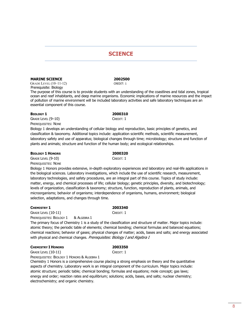## **SCIENCE**

## **MARINE SCIENCE 2002500**

 GRADE LEVEL (10–11-12) CREDIT: 1 Prerequisite: Biology

The purpose of this course is to provide students with an understanding of the coastlines and tidal zones, tropical ocean and reef inhabitants, and deep marine organisms. Economic implications of marine resources and the impact of pollution of marine environment will be included laboratory activities and safe laboratory techniques are an essential component of this course.

## **BIOLOGY 1 2000310**

GRADE LEVEL (9-10) CREDIT: 1 PREREQUISITES: NONE

Biology 1 develops an understanding of cellular biology and reproduction, basic principles of genetics, and classification & taxonomy. Additional topics include: application scientific methods, scientific measurement, laboratory safety and use of apparatus; biological changes through time; microbiology; structure and function of plants and animals; structure and function of the human body; and ecological relationships.

## **BIOLOGY 1 HONORS 2000320**

GRADE LEVEL (9-10) CREDIT: 1 PREREQUISITES: NONE

Biology 1 Honors provides extensive, in-depth exploratory experiences and laboratory and real-life applications in the biological sciences. Laboratory investigations, which include the use of scientific research, measurement, laboratory technologies, and safety procedures, are an integral part of this course. Topics of study include: matter, energy, and chemical processes of life; cellular biology; genetic principles, diversity, and biotechnology; levels of organization, classification & taxonomy; structure, function, reproduction of plants, animals, and microorganisms; behavior of organisms; interdependence of organisms, humans, environment; biological selection, adaptations, and changes through time.

## **CHEMISTRY 1 2003340**

GRADE LEVEL (10-11) CREDIT: 1 PREREQUISITES: BIOLOGY 1 & ALGEBRA 1

The primary focus of Chemistry 1 is a study of the classification and structure of matter. Major topics include: atomic theory; the periodic table of elements; chemical bonding; chemical formulas and balanced equations; chemical reactions; behavior of gases; physical changes of matter; acids, bases and salts; and energy associated with physical and chemical changes. Prerequisites: Biology I and Algebra I

## **CHEMISTRY I HONORS 2003350**

GRADE LEVEL (10-11) CREDIT: 1

PREREQUISITES: BIOLOGY 1 HONORS & ALGEBRA 1

Chemistry 1 Honors is a comprehensive course placing a strong emphasis on theory and the quantitative aspects of chemistry. Laboratory work is an integral component of the curriculum. Major topics include: atomic structure; periodic table; chemical bonding; formulas and equations; mole concept; gas laws; energy and order; reaction rates and equilibrium; solutions; acids, bases, and salts; nuclear chemistry; electrochemistry; and organic chemistry.

8

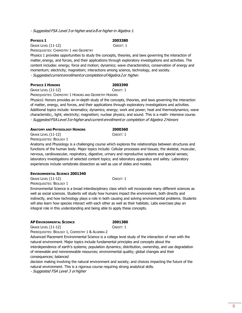- Suggested FSA Level 3 or higher and <sup>a</sup> B or higher in Algebra 1.

GRADE LEVEL (11-12) CREDIT: 1 PREREQUISITES: CHEMISTRY 1 AND GEOMETRY

Physics 1 provides opportunities to study the concepts, theories, and laws governing the interaction of matter,energy, and forces, and their applications through exploratory investigations and activities. The content includes: energy; force and motion; dynamics; wave characteristics; conservation of energy and momentum; electricity; magnetism; interactions among science, technology, and society.

- Suggestedcurrentenrollmentor completionofAlgebra2or higher.

## **PHYSICS 1 HONORS 2003390**

GRADE LEVEL (11-12) CREDIT: 1

PREREQUISITES: CHEMISTRY 1 HONORS AND GEOMETRY HONORS

Physics1 Honors provides an in-depth study of the concepts, theories, and laws governing the interaction of matter, energy, and forces, and their applications through exploratory investigations and activities. Additional topics include: kinematics; dynamics; energy; work and power; heat and thermodynamics; wave characteristic;, light; electricity; magnetism; nuclear physics; and sound. This is a math- intensive course. - Suggested FSALevel3 orhigher and current enrollment or completion of Algebra 2Honors

| <b>ANATOMY AND PHYSIOLOGY HONORS</b> | 2000360   |
|--------------------------------------|-----------|
| $G$ RADE LEVEL $(11-12)$             | Credit: 1 |

PREREQUISITES: BIOLOGY 1

Anatomy and Physiology is a challenging course which explores the relationships between structures and functions of the human body. Major topics include: Cellular processes and tissues; the skeletal, muscular, nervous, cardiovascular, respiratory, digestive, urinary and reproductive systems and special senses; laboratory investigations of selected content topics; and laboratory apparatus and safety. Laboratory experiences include vertebrate dissection as well as use of slides and models.

## **ENVIRONMENTAL SCIENCE 2001340**

GRADE LEVEL (11-12) CREDIT: 1

PREREQUISITES: BIOLOGY 1

Environmental Science is a broad interdisciplinary class which will incorporate many different sciences as well as social sciences. Students will study how humans impact the environment, both directly and indirectly, and how technology plays a role in both causing and solving environmental problems. Students will also learn how species interact with each other as well as their habitats. Labs exercises play an integral role in this understanding and being able to apply these concepts.

## **AP ENVIRONMENTAL SCIENCE 2001380**

GRADE LEVEL (11-12) CREDIT: 1

PREREQUISITES: BIOLOGY 1, CHEMISTRY 1 & ALGEBRA 2

Advanced Placement Environmental Science is a college level study of the interaction of man with the natural environment. Major topics include fundamental principles and concepts about the interdependence of earth's systems; population dynamics; distribution, ownership, and use degradation of renewable and nonrenewable resources; environmental quality; global changes and their consequences; balanced

decision making involving the natural environment and society; and choices impacting the future of the natural environment. This is a rigorous course requiring strong analytical skills.

- Suggested FSA Level 3 orhigher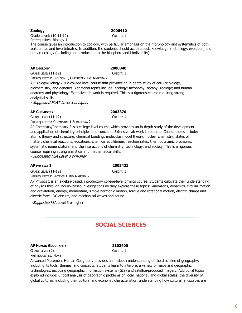## **Zoology 2000410**

Grade Level: (10-11-12) CREDIT: 1 Prerequisites: Biology 1

The course gives an introduction to zoology, with particular emphasis on the morphology and systematics of both vertebrates and invertebrates. In addition, the students should acquire basic knowledge in ethology, evolution, and human ecology (including an introduction to the biosphere and biodiversity).

## **AP BIOLOGY 2000340**

GRADE LEVEL (11-12) CREDIT: 1

PREREQUISITES: BIOLOGY 1, CHEMISTRY 1 & ALGEBRA 2

AP Biology/Biology 2 is a college level course that provides an in-depth study of cellular biology, biochemistry, and genetics. Additional topics include: ecology; taxonomy; botany; zoology; and human anatomy and physiology. Extensive lab work is required. This is a rigorous course requiring strong analytical skills.

- Suggested FCAT Level 3 orhigher

## **AP CHEMISTRY 2003370**

GRADE LEVEL (11-12) CREDIT: 1

PREREQUISITES: CHEMISTRY 1 & ALGEBRA 2

AP Chemistry/Chemistry 2 is a college level course which provides an in-depth study of the development and application of chemistry principles and concepts. Extensive lab work is required. Course topics include: atomic theory and structure; chemical bonding; molecular model theory; nuclear chemistry; states of matter; chemical reactions; equations; chemical equilibrium; reaction rates; thermodynamic processes; systematic nomenclature; and the interactions of chemistry, technology, and society. This is a rigorous course requiring strong analytical and mathematical skills.

- Suggested FSA Level 3 orhigher

## **AP PHYSICS 1 2003421**

GRADE LEVEL (11-12) CREDIT: 1

PREREQUISITES: PHYSICS 1 AND ALGEBRA 2 AP Physics 1 is an algebra-based, introductory college-level physics course. Students cultivate their understanding of physics through inquiry-based investigations as they explore these topics: kinematics, dynamics, circular motion and gravitation, energy, momentum, simple harmonic motion, torque and rotational motion, electric charge and electric force, DC circuits, and mechanical waves and sound.

-Suggested FSA Level 3 or higher

## **SOCIAL SCIENCES**

## **AP HUMAN GEOGRAPHY 2103400**

GRADE LEVEL (9) CREDIT: 1 PREREQUISITES: NONE

Advanced Placement Human Geography provides an in-depth understanding of the discipline of geography, including its tools, themes, and concepts. Students learn to interpret a variety of maps and geographic technologies, including geographic information systems (GIS) and satellite-produced imagery. Additional topics explored include: Critical analysis of geographic problems on local, national, and global scales; the diversity of global cultures, including their cultural and economic characteristics; understanding how cultural landscapes are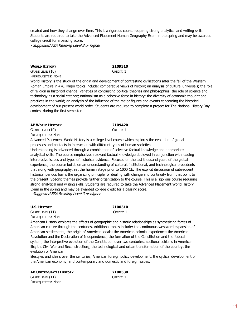created and how they change over time. This is a rigorous course requiring strong analytical and writing skills. Students are required to take the Advanced Placement Human Geography Exam in the spring and may be awarded college credit for a passing score.

- Suggested FSA Reading Level 3 or higher

## **WORLD HISTORY 2109310**

GRADE LEVEL (10) CREDIT: 1 PREREQUISITES: NONE

World History is the study of the origin and development of contrasting civilizations after the fall of the Western Roman Empire in 476. Major topics include: comparative views of history; an analysis of cultural universals; the role of religion in historical change; varieties of contrasting political theories and philosophies; the role of science and technology as a social catalyst; nationalism as a cohesive force in history; the diversity of economic thought and practices in the world; an analysis of the influence of the major figures and events concerning the historical development of our present world order. Students are required to complete a project for The National History Day contest during the first semester.

### **AP WORLD HISTORY 2109420**

GRADE LEVEL (10) CREDIT: 1 PREREQUISITES: NONE

Advanced Placement World History is a college level course which explores the evolution of global processes and contacts in interaction with different types of human societies.

Understanding is advanced through a combination of selective factual knowledge and appropriate analytical skills. The course emphasizes relevant factual knowledge deployed in conjunction with leading interpretive issues and types of historical evidence. Focused on the last thousand years of the global experience, the course builds on an understanding of cultural, institutional, and technological precedents that along with geography, set the human stage prior to 1000 CE. The explicit discussion of subsequent historical periods forms the organizing principle for dealing with change and continuity from that point to the present. Specific themes provide further organization to the course. This is a rigorous course requiring strong analytical and writing skills. Students are required to take the Advanced Placement World History Exam in the spring and may be awarded college credit for a passing score. - Suggested FSA Reading Level 3 or higher

**U.S. HISTORY 2100310**

GRADE LEVEL (11) CREDIT: 1 PREREQUISITES: NONE

American History explores the effects of geographic and historic relationships as synthesizing forces of American culture through the centuries. Additional topics include: the continuous westward expansion of American settlements; the origin of American ideals; the American colonial experience; the American Revolution and the Declaration of Independence; the formation of the Constitution and the federal system; the interpretive evolution of the Constitution over two centuries; sectional schisms in American life; theCivil War and Reconstruction;, the technological and urban transformation of the country; the evolution of American

lifestyles and ideals over the centuries; American foreign policy development; the cyclical development of the American economy; and contemporary and domestic and foreign issues.

### **AP UNITED STATES HISTORY 2100330**

GRADE LEVEL (11) CREDIT: 1 PREREQUISITES: NONE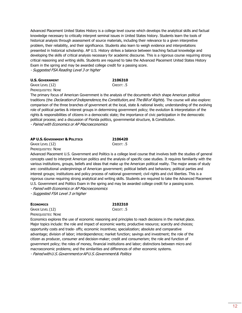Advanced Placement United States History is a college level course which develops the analytical skills and factual knowledge necessary to critically interpret seminal issues in United States history. Students learn the tools of historical analysis through assessment of source materials, including their relevance to a given interpretive problem, their reliability, and their significance. Students also learn to weigh evidence and interpretations presented in historical scholarship. AP U.S. History strikes a balance between teaching factual knowledge and developing the skills of critical analysis necessary for academic discourse. This is a rigorous course requiring strong critical reasoning and writing skills. Students are required to take the Advanced Placement United States History Exam in the spring and may be awarded college credit for a passing score. - Suggested FSA Reading Level 3 or higher

## **U.S. GOVERNMENT 2106310**

GRADE LEVEL (12) CREDIT: .5

PREREQUISITES: NONE

The primary focus of American Government is the analysis of the documents which shape American political traditions (the *Declaration of Independence*, the *Constitution*, and The Bill of Rights). The course will also explore: comparison of the three branches of government at the local, state & national levels; understanding of the evolving role of political parties & interest groups in determining government policy; the evolution & interpretation of the rights & responsibilities of citizens in a democratic state; the importance of civic participation in the democratic political process; and a discussion of Florida politics, governmental structure, & Constitution. - Paired with Economics or AP Macroeconomics

| <b>AP U.S. GOVERNMENT &amp; POLITICS</b> | 2106420       |
|------------------------------------------|---------------|
| Grade Level (12)                         | $C$ REDIT: .5 |

PREREQUISITES: NONE

Advanced Placement U.S. Government and Politics is a college level course that involves both the studies of general concepts used to interpret American politics and the analysis of specific case studies. It requires familiarity with the various institutions, groups, beliefs and ideas that make up the American political reality. The major areas of study are: constitutional underpinnings of American government; political beliefs and behaviors; political parties and interest groups; institutions and policy process of national government; civil rights and civil liberties. This is a rigorous course requiring strong analytical and writing skills. Students are required to take the Advanced Placement U.S. Government and Politics Exam in the spring and may be awarded college credit for a passing score.

- Paired with Economics or AP Macroeconomics

- Suggested FSA Level 3 orhigher

## **ECONOMICS 2102310**

GRADE LEVEL (12) CREDIT: .5 PREREQUISITES: NONE

Economics explores the use of economic reasoning and principles to reach decisions in the market place. Major topics include: the role and impact of economic wants; productive resource; scarcity and choices; opportunity costs and trade- offs; economic incentives; specialization; absolute and comparative advantage; division of labor; interdependence; market function; savings and investment; the role of the citizen as producer, consumer and decision-maker; credit and consumerism; the role and function of government policy; the roles of money, financial institutions and labor; distinctions between micro and macroeconomic problems; and the similarities and differences of other economic systems.

- PairedwithU.S.GovernmentorAPU.S.Government& Politics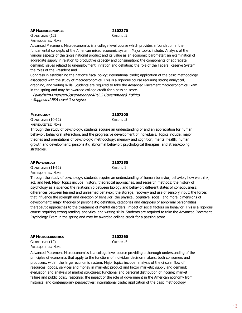## **AP MACROECONOMICS 2102370**

## GRADE LEVEL (12) CREDIT: .5

PREREQUISITES: NONE

Advanced Placement Macroeconomics is a college level course which provides a foundation in the fundamental concepts of the American mixed economic system. Major topics include: Analysis of the various aspects of the gross national product and its value as an economic barometer; an examination of aggregate supply in relation to productive capacity and consumption; the components of aggregate demand; issues related to unemployment; inflation and deflation; the role of the Federal Reserve System; the roles of the President and

Congress in establishing the nation's fiscal policy; international trade; application of the basic methodology associated with the study of macroeconomics. This is a rigorous course requiring strong analytical, graphing, and writing skills. Students are required to take the Advanced Placement Macroeconomics Exam

in the spring and may be awarded college credit for a passing score.

- PairedwithAmericanGovernmentorAPU.S.Government& Politics

- Suggested FSA Level 3 orhigher

### **PSYCHOLOGY 2107300**

GRADE LEVEL (10-12) CREDIT: .5 PREREQUISITES: NONE

Through the study of psychology, students acquire an understanding of and an appreciation for human behavior, behavioral interaction, and the progressive development of individuals. Topics include: major theories and orientations of psychology; methodology; memory and cognition; mental health; human growth and development; personality; abnormal behavior; psychological therapies; and stress/coping strategies.

## **AP PSYCHOLOGY 2107350**

GRADE LEVEL (11-12) CREDIT: 1 PREREQUISITES: NONE

Through the study of psychology, students acquire an understanding of human behavior, behavior; how we think, act, and feel. Major topics include: history, theoretical approaches, and research methods; the history of psychology as a science; the relationship between biology and behavior; different states of consciousness; differences between learned and unlearned behavior; the storage, recovery and use of sensory input; the forces that influence the strength and direction of behavior; the physical, cognitive, social, and moral dimensions of development; major theories of personality; definition, categories and diagnosis of abnormal personalities; therapeutic approaches to the treatment of mental disorders; impact of social factors on behavior. This is a rigorous course requiring strong reading, analytical and writing skills. Students are required to take the Advanced Placement Psychology Exam in the spring and may be awarded college credit for a passing score.

### **AP MICROECONOMICS 2102360**

GRADE LEVEL (12) CREDIT: .5 PREREQUISITES: NONE

Advanced Placement Microeconomics is a college level course providing a thorough understanding of the principles of economics that apply to the functions of individual decision makers, both consumers and producers, within the larger economic system. Major topics include: analysis of the circular flow of resources, goods, services and money in markets; product and factor markets; supply and demand; evaluation and analysis of market structures; functional and personal distribution of income; market failure and public policy response; the impact of the role of government in the American economy from historical and contemporary perspectives; international trade; application of the basic methodology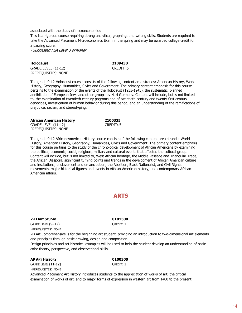associated with the study of microeconomics.

This is a rigorous course requiring strong analytical, graphing, and writing skills. Students are required to take the Advanced Placement Microeconomics Exam in the spring and may be awarded college credit for a passing score.

- Suggested FSA Level 3 orhigher

| <b>Holocaust</b>    | 2109430   |
|---------------------|-----------|
| GRADE LEVEL (11-12) | CREDIT:.5 |
| PREREQUISITES: NONE |           |

The grade 9-12 Holocaust course consists of the following content area strands: American History, World History, Geography, Humanities, Civics and Government. The primary content emphasis for this course pertains to the examination of the events of the Holocaust (1933-1945), the systematic, planned annihilation of European Jews and other groups by Nazi Germany. Content will include, but is not limited to, the examination of twentieth century pogroms and of twentieth century and twenty-first century genocides, investigation of human behavior during this period, and an understanding of the ramifications of prejudice, racism, and stereotyping.

| African American History | 2100335   |
|--------------------------|-----------|
| GRADE LEVEL (11-12)      | CREDIT:.5 |
| PREREQUISITES: NONE      |           |

The grade 9-12 African-American History course consists of the following content area strands: World History, American History, Geography, Humanities, Civics and Government. The primary content emphasis for this course pertains to the study of the chronological development of African Americans by examining the political, economic, social, religious, military and cultural events that affected the cultural group. Content will include, but is not limited to, West African heritage, the Middle Passage and Triangular Trade, the African Diaspora, significant turning points and trends in the development of African American culture and institutions, enslavement and emancipation, the Abolition, Black Nationalist, and Civil Rights movements, major historical figures and events in African-American history, and contemporary African-American affairs.

## **ARTS**

### **2-D ART STUDIO 0101300**

GRADE LEVEL (9-12) CREDIT: 1 PREREQUISITES: NONE

2D Art Comprehensive is for the beginning art student, providing an introduction to two-dimensional art elements and principles through basic drawing, design and composition.

Design principles and art historical examples will be used to help the student develop an understanding of basic color theory, perspective, and observational skills.

## **AP ART HISTORY 0100300**

GRADE LEVEL (11-12) CREDIT: 1 PREREQUISITES: NONE

Advanced Placement Art History introduces students to the appreciation of works of art, the critical examination of works of art, and to major forms of expression in western art from 1400 to the present.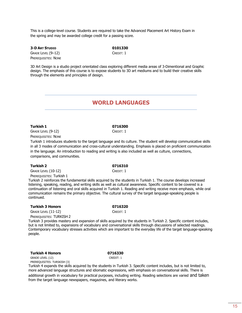This is a college-level course. Students are required to take the Advanced Placement Art History Exam in the spring and may be awarded college credit for a passing score.

**3-D ART STUDIO 0101330** GRADE LEVEL (9-12) CREDIT: 1 PREREQUISITES: NONE

3D Art Design is a studio project orientated class exploring different media areas of 3-Dimentional and Graphic design. The emphasis of this course is to expose students to 3D art mediums and to build their creative skills through the elements and principles of design.

## **WORLD LANGUAGES**

## **Turkish 1 0716300**

GRADE LEVEL (9-12) CREDIT: 1 PREREQUISITES: NONE

Turkish 1 introduces students to the target language and its culture. The student will develop communicative skills in all 3 modes of communication and cross-cultural understanding. Emphasis is placed on proficient communication in the language. An introduction to reading and writing is also included as well as culture, connections, comparisons, and communities.

### **Turkish 2 0716310**

GRADE LEVEL (10-12) CREDIT: 1

PREREQUISITES: Turkish 1

Turkish 2 reinforces the fundamental skills acquired by the students in Turkish 1. The course develops increased listening, speaking, reading, and writing skills as well as cultural awareness. Specific content to be covered is a continuation of listening and oral skills acquired in Turkish 1. Reading and writing receive more emphasis, while oral communication remains the primary objective. The cultural survey of the target language-speaking people is continued.

### **Turkish 3 Honors 0716320**

GRADE LEVEL (11-12) CREDIT: 1

PREREQUISITES: TURKISH 2

Turkish 3 provides mastery and expansion of skills acquired by the students in Turkish 2. Specific content includes, but is not limited to, expansions of vocabulary and conversational skills through discussions of selected readings. Contemporary vocabulary stresses activities which are important to the everyday life of the target language-speaking people.

### **Turkish 4 Honors 0716330**

GRADE LEVEL (12) CREDIT: 1

PREREQUISITES: TURSKISH [3]

Turkish 4 expands the skills acquired by the students in Turkish 3. Specific content includes, but is not limited to, more advanced language structures and idiomatic expressions, with emphasis on conversational skills. There is additional growth in vocabulary for practical purposes, including writing. Reading selections are varied and taken from the target language newspapers, magazines, and literary works.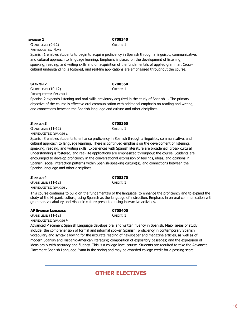## **SPANISH 1 0708340**

GRADE LEVEL (9-12) CREDIT: 1 PREREQUISITES: NONE

Spanish 1 enables students to begin to acquire proficiency in Spanish through a linguistic, communicative, and cultural approach to language learning. Emphasis is placed on the development of listening, speaking, reading, and writing skills and on acquisition of the fundamentals of applied grammar. Crosscultural understanding is fostered, and real-life applications are emphasized throughout the course.

## **SPANISH 2 0708350**

GRADE LEVEL (10-12) CREDIT: 1 PREREQUISITES: SPANISH 1

Spanish 2 expands listening and oral skills previously acquired in the study of Spanish 1. The primary objective of the course is effective oral communication with additional emphasis on reading and writing, and connections between the Spanish language and culture and other disciplines.

## **SPANISH 3 0708360**

GRADE LEVEL (11-12) CREDIT: 1 PREREQUISITES: SPANISH 2

Spanish 3 enables students to enhance proficiency in Spanish through a linguistic, communicative, and cultural approach to language learning. There is continued emphasis on the development of listening, speaking, reading, and writing skills. Experiences with Spanish literature are broadened, cross- cultural understanding is fostered, and real-life applications are emphasized throughout the course. Students are encouraged to develop proficiency in the conversational expression of feelings, ideas, and opinions in Spanish, social interaction patterns within Spanish-speaking culture(s), and connections between the Spanish language and other disciplines.

## **SPANISH 4 0708370**

GRADE LEVEL (11-12) CREDIT: 1 PREREQUISITES: SPANISH 3

This course continues to build on the fundamentals of the language, to enhance the proficiency and to expand the study of the Hispanic culture, using Spanish as the language of instruction. Emphasis in on oral communication with grammar, vocabulary and Hispanic culture presented using interactive activities.

## **AP SPANISH LANGUAGE 0708400**

GRADE LEVEL (11-12) CREDIT: 1 PREREQUISITES: SPANISH 4

Advanced Placement Spanish Language develops oral and written fluency in Spanish. Major areas of study include: the comprehension of formal and informal spoken Spanish; proficiency in contemporary Spanish vocabulary and syntax allowing for the accurate reading of newspaper and magazine articles, as well as of modern Spanish and Hispanic-American literature; composition of expository passages; and the expression of ideas orally with accuracy and fluency. This is a college-level course. Students are required to take the Advanced Placement Spanish Language Exam in the spring and may be awarded college credit for a passing score.

## **OTHER ELECTIVES**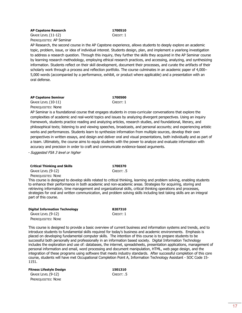## **AP Capstone Research 1700510**

GRADE LEVEL (11-12) CREDIT: 1 PREREQUISITES: AP Seminar

AP Research, the second course in the AP Capstone experience, allows students to deeply explore an academic topic, problem, issue, or idea of individual interest. Students design, plan, and implement a yearlong investigation to address a research question. Through this inquiry, they further the skills they acquired in the AP Seminar course by learning research methodology, employing ethical research practices, and accessing, analyzing, and synthesizing information. Students reflect on their skill development, document their processes, and curate the artifacts of their scholarly work through a process and reflection portfolio. The course culminates in an academic paper of 4,000– 5,000 words (accompanied by a performance, exhibit, or product where applicable) and a presentation with an oral defense.

**AP Capstone Seminar 1700500** GRADE LEVEL (10-11) CREDIT: 1 PREREQUISITES: None

AP Seminar is a foundational course that engages students in cross-curricular conversations that explore the complexities of academic and real-world topics and issues by analyzing divergent perspectives. Using an inquiry framework, students practice reading and analyzing articles, research studies, and foundational, literary, and philosophical texts; listening to and viewing speeches, broadcasts, and personal accounts; and experiencing artistic works and performances. Students learn to synthesize information from multiple sources, develop their own perspectives in written essays, and design and deliver oral and visual presentations, both individually and as part of a team. Ultimately, the course aims to equip students with the power to analyze and evaluate information with accuracy and precision in order to craft and communicate evidence-based arguments.

- Suggested FSA 3 level or higher

part of this course.

| <b>Critical Thinking and Skills</b> | 1700370                                                                                                                 |
|-------------------------------------|-------------------------------------------------------------------------------------------------------------------------|
| GRADE LEVEL (9-12)                  | $C$ REDIT: $.5$                                                                                                         |
| PREREOUISITES: NONE                 |                                                                                                                         |
|                                     | This course is designed to develop skills related to critical thinking, learning and problem solving, enabling students |
|                                     | to enhance their performance in both academic and non-academic areas. Strategies for acquiring, storing and             |
|                                     | retrieving information, time management and organizational skills, critical thinking operations and processes,          |
|                                     | strategies for oral and written communication, and problem solving skills including test taking skills are an integral  |

| <b>Digital Information Technology</b> | 8207310   |
|---------------------------------------|-----------|
| GRADE LEVEL (9-12)                    | CREDIT: 1 |
| PREREQUISITES: NONE                   |           |

This course is designed to provide a basic overview of current business and information systems and trends, and to introduce students to fundamental skills required for today's business and academic environments. Emphasis is placed on developing fundamental computer skills. The intention of this course is to prepare students to be successful both personally and professionally in an information based society. Digital Information Technology includes the exploration and use of: databases, the internet, spreadsheets, presentation applications, management of personal information and email, word processing and document manipulation, HTML, web page design, and the integration of these programs using software that meets industry standards. After successful completion of this core course, students will have met Occupational Completion Point A, Information Technology Assistant - SOC Code 15- 1151.

**Fitness Lifestyle Design 1501310** GREDIT: .5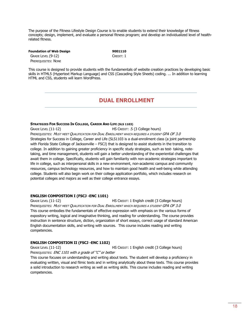The purpose of the Fitness Lifestyle Design Course is to enable students to extend their knowledge of fitness concepts; design, implement, and evaluate a personal fitness program; and develop an individualized level of healthrelated fitness.

**Foundation of Web Design 9001110** GRADE LEVEL (9-12) CREDIT: 1 PREREQUISITES: NONE

This course is designed to provide students with the fundamentals of website creation practices by developing basic skills in HTML5 (Hypertext Markup Language) and CSS (Cascading Style Sheets) coding. ... In addition to learning HTML and CSS, students will learn WordPress.

## **DUAL ENROLLMENT**

## **STRATEGIES FOR SUCCESS IN COLLEGE, CAREER AND LIFE (SLS 1103)**

GRADE LEVEL (11-12) HS CREDIT: .5 (3 College hours) PREREQUISITES: MUST MEET QUALIFICATION FOR DUAL ENROLLMENT WHICH REQUIRES A STUDENT GPA OF 3.0 Strategies for Success in College, Career and Life (SLS1103 is a dual-enrollment class (a joint partnership with Florida State College of Jacksonville – FSCJ) that is designed to assist students in the transition to college. In addition to gaining greater proficiency in specific study strategies, such as test- taking, notetaking, and time management, students will gain a better understanding of the experiential challenges that await them in college. Specifically, students will gain familiarity with non-academic strategies important to life in college, such as interpersonal skills in a new environment, non-academic campus and community resources, campus technology resources, and how to maintain good health and well-being while attending college. Students will also begin work on their college application portfolio, which includes research on potential colleges and majors as well as their college entrance essays.

## **ENGLISH COMPOSTION I (FSCJ -ENC 1101)**

GRADE LEVEL (11-12) HS CREDIT: 1 English credit (3 College hours) PREREQUISITES: MUST MEET QUALIFICATION FOR DUAL ENROLLMENT WHICH REQUIRES A STUDENT GPA OF 3.0 This course embodies the fundamentals of effective expression with emphasis on the various forms of expository writing, logical and imaginative thinking, and reading for understanding. The course provides instruction in sentence structure, diction, organization of short essays, correct usage of standard American English documentation skills, and writing with sources. This course includes reading and writing competencies.

## **ENGLISH COMPOSTION II (FSCJ -ENC 1102)**

GRADE LEVEL (11-12) HS CREDIT: 1 English credit (3 College hours) PREREQUISITES: ENC 1101 with a grade of "C" or better

This course focuses on understanding and writing about texts. The student will develop a proficiency in evaluating written, visual and filmic texts and in writing analytically about these texts. This course provides a solid introduction to research writing as well as writing skills. This course includes reading and writing competencies.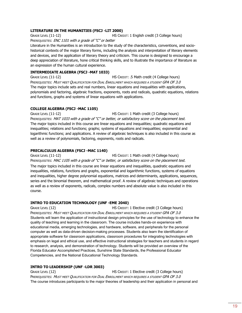## **LITERATURE IN THE HUMANITIES (FSCJ -LIT 2000)**

GRADE LEVEL (11-12) HS CREDIT: 1 English credit (3 College hours)

PREREQUISITES: ENC 1101 with a grade of "C" or better

Literature in the Humanities is an introduction to the study of the characteristics, conventions, and sociohistorical contexts of the major literary forms, including the analysis and interpretation of literary elements and devices, and the application of literary theory and criticism. This course is designed to encourage a deep appreciation of literature, hone critical thinking skills, and to illustrate the importance of literature as an expression of the human cultural experience.

## **INTERMEDIATE ALGEBRA (FSCJ -MAT 1033)**

GRADE LEVEL (11-12) HS CREDIT: .5 Math credit (4 College hours) PREREQUISITES: MUST MEET QUALIFICATION FOR DUAL ENROLLMENT WHICH REQUIRES A STUDENT GPA OF 3.0 The major topics include sets and real numbers, linear equations and inequalities with applications, polynomials and factoring, algebraic fractions, exponents, roots and radicals, quadratic equations, relations and functions, graphs and systems of linear equations with applications.

## **COLLEGE ALGEBRA (FSCJ -MAC 1105)**

GRADE LEVEL (11-12) HS CREDIT: 1 Math credit (3 College hours) PREREQUISITES: MAT 1033 with a grade of "C" or better, or satisfactory score on the placement test. The major topics included in this course are linear equations and inequalities; quadratic equations and inequalities; relations and functions; graphs; systems of equations and inequalities; exponential and logarithmic functions; and applications. A review of algebraic techniques is also included in this course as well as a review of polynomials, factoring, exponents, roots and radicals.

## **PRECALCULUS ALGEBRA (FSCJ -MAC 1140)**

GRADE LEVEL (11-12) HS CREDIT: 1 Math credit (4 College hours) PREREQUISITES: MAC 1105 with a grade of "C" or better, or satisfactory score on the placement test. The major topics included in this course are linear equations and inequalities, quadratic equations and inequalities, relations, functions and graphs, exponential and logarithmic functions, systems of equations and inequalities, higher degree polynomial equations, matrices and determinants, applications, sequences, series and the binomial theorem, and mathematical proof. A review of algebraic techniques and operations as well as a review of exponents, radicals, complex numbers and absolute value is also included in this course.

## **INTRO TO EDUCATION TECHNOLOGY (UNF -EME 2040)**

GRADE LEVEL (12) HS CREDIT: 1 Elective credit (3 College hours) PREREQUISITES: MUST MEET QUALIFICATION FOR DUAL ENROLLMENT WHICH REQUIRES A STUDENT GPA OF 3.0 Students will learn the application of instructional design principles for the use of technology to enhance the quality of teaching and learning in the classroom. The course includes hands-on experience with educational media, emerging technologies, and hardware, software, and peripherals for the personal computer as well as data-driven decision-making processes. Students also learn the identification of appropriate software for classroom applications, classroom procedures for integrating technologies with emphasis on legal and ethical use, and effective instructional strategies for teachers and students in regard to research, analysis, and demonstration of technology. Students will be provided an overview of the Florida Educator Accomplished Practices, Sunshine State Standards, the Professional Educator Competencies, and the National Educational Technology Standards.

## **INTRO TO LEADERSHIP (UNF -LDR 3003)**

GRADE LEVEL (12) HS CREDIT: 1 Elective credit (3 College hours) PREREQUISITES: MUST MEET QUALIFICATION FOR DUAL ENROLLMENT WHICH REQUIRES A STUDENT GPA OF 3.0 The course introduces participants to the major theories of leadership and their application in personal and